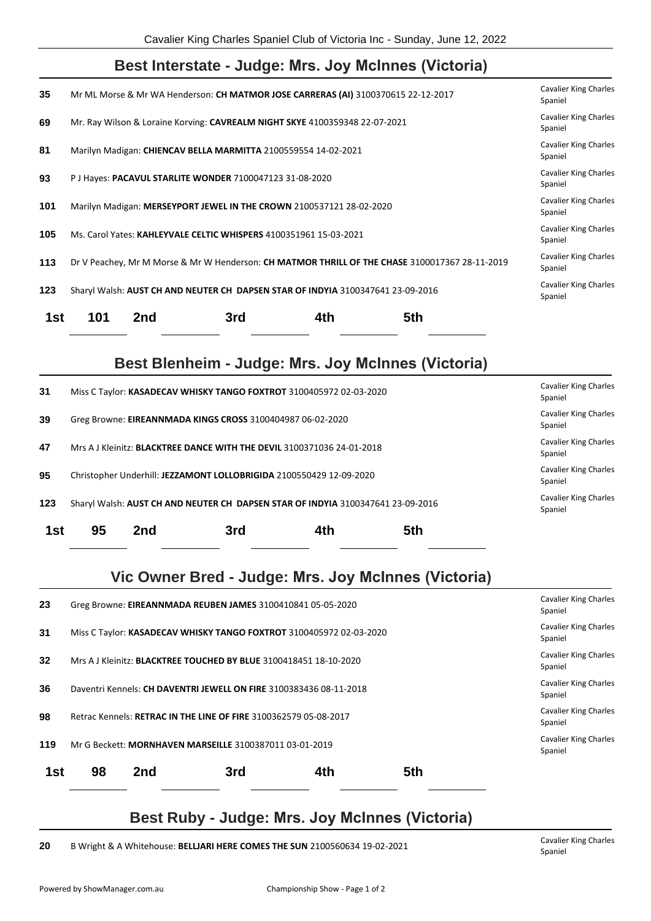## **Best Interstate - Judge: Mrs. Joy McInnes (Victoria)**

| 35  |                                                                                                              | Mr ML Morse & Mr WA Henderson: CH MATMOR JOSE CARRERAS (AI) 3100370615 22-12-2017 |     |     |                                                                                                | <b>Cavalier King Charles</b><br>Spaniel |  |
|-----|--------------------------------------------------------------------------------------------------------------|-----------------------------------------------------------------------------------|-----|-----|------------------------------------------------------------------------------------------------|-----------------------------------------|--|
| 69  |                                                                                                              | Mr. Ray Wilson & Loraine Korving: CAVREALM NIGHT SKYE 4100359348 22-07-2021       |     |     |                                                                                                | <b>Cavalier King Charles</b><br>Spaniel |  |
| 81  |                                                                                                              | Marilyn Madigan: CHIENCAV BELLA MARMITTA 2100559554 14-02-2021                    |     |     |                                                                                                | <b>Cavalier King Charles</b><br>Spaniel |  |
| 93  |                                                                                                              | P J Hayes: PACAVUL STARLITE WONDER 7100047123 31-08-2020                          |     |     |                                                                                                | <b>Cavalier King Charles</b><br>Spaniel |  |
| 101 |                                                                                                              | Marilyn Madigan: MERSEYPORT JEWEL IN THE CROWN 2100537121 28-02-2020              |     |     |                                                                                                | <b>Cavalier King Charles</b><br>Spaniel |  |
| 105 | <b>Cavalier King Charles</b><br>Ms. Carol Yates: KAHLEYVALE CELTIC WHISPERS 4100351961 15-03-2021<br>Spaniel |                                                                                   |     |     |                                                                                                |                                         |  |
| 113 |                                                                                                              |                                                                                   |     |     | Dr V Peachey, Mr M Morse & Mr W Henderson: CH MATMOR THRILL OF THE CHASE 3100017367 28-11-2019 | <b>Cavalier King Charles</b><br>Spaniel |  |
| 123 |                                                                                                              | Sharyl Walsh: AUST CH AND NEUTER CH DAPSEN STAR OF INDYIA 3100347641 23-09-2016   |     |     |                                                                                                | <b>Cavalier King Charles</b><br>Spaniel |  |
| 1st | 101                                                                                                          | 2nd                                                                               | 3rd | 4th | 5th                                                                                            |                                         |  |

## **Best Blenheim - Judge: Mrs. Joy McInnes (Victoria)**

| 1st | 95                                                                              | 2nd                                     | 3rd | 4th | 5th |                                         |
|-----|---------------------------------------------------------------------------------|-----------------------------------------|-----|-----|-----|-----------------------------------------|
| 123 | Sharyl Walsh: AUST CH AND NEUTER CH DAPSEN STAR OF INDYIA 3100347641 23-09-2016 |                                         |     |     |     | <b>Cavalier King Charles</b><br>Spaniel |
| 95  | Christopher Underhill: JEZZAMONT LOLLOBRIGIDA 2100550429 12-09-2020             | <b>Cavalier King Charles</b><br>Spaniel |     |     |     |                                         |
| 47  | Mrs A J Kleinitz: <b>BLACKTREE DANCE WITH THE DEVIL</b> 3100371036 24-01-2018   |                                         |     |     |     | <b>Cavalier King Charles</b><br>Spaniel |
| 39  | Greg Browne: EIREANNMADA KINGS CROSS 3100404987 06-02-2020                      |                                         |     |     |     | <b>Cavalier King Charles</b><br>Spaniel |
| 31  | Miss C Taylor: KASADECAV WHISKY TANGO FOXTROT 3100405972 02-03-2020             |                                         |     |     |     | <b>Cavalier King Charles</b><br>Spaniel |

## **Vic Owner Bred - Judge: Mrs. Joy McInnes (Victoria)**

| 23  | Greg Browne: EIREANNMADA REUBEN JAMES 3100410841 05-05-2020              |     |     |     |     |                                         |
|-----|--------------------------------------------------------------------------|-----|-----|-----|-----|-----------------------------------------|
| 31  | Miss C Taylor: KASADECAV WHISKY TANGO FOXTROT 3100405972 02-03-2020      |     |     |     |     |                                         |
| 32  | Mrs A J Kleinitz: <b>BLACKTREE TOUCHED BY BLUE</b> 3100418451 18-10-2020 |     |     |     |     |                                         |
| 36  | Daventri Kennels: CH DAVENTRI JEWELL ON FIRE 3100383436 08-11-2018       |     |     |     |     |                                         |
| 98  | Retrac Kennels: RETRAC IN THE LINE OF FIRE 3100362579 05-08-2017         |     |     |     |     |                                         |
| 119 | Mr G Beckett: MORNHAVEN MARSEILLE 3100387011 03-01-2019                  |     |     |     |     | <b>Cavalier King Charles</b><br>Spaniel |
| 1st | 98                                                                       | 2nd | 3rd | 4th | 5th |                                         |
|     |                                                                          |     |     |     |     |                                         |

## **Best Ruby - Judge: Mrs. Joy McInnes (Victoria)**

**20** B Wright & A Whitehouse: **BELLJARI HERE COMES THE SUN** 2100560634 19-02-2021 Cavalier King Charles

Spaniel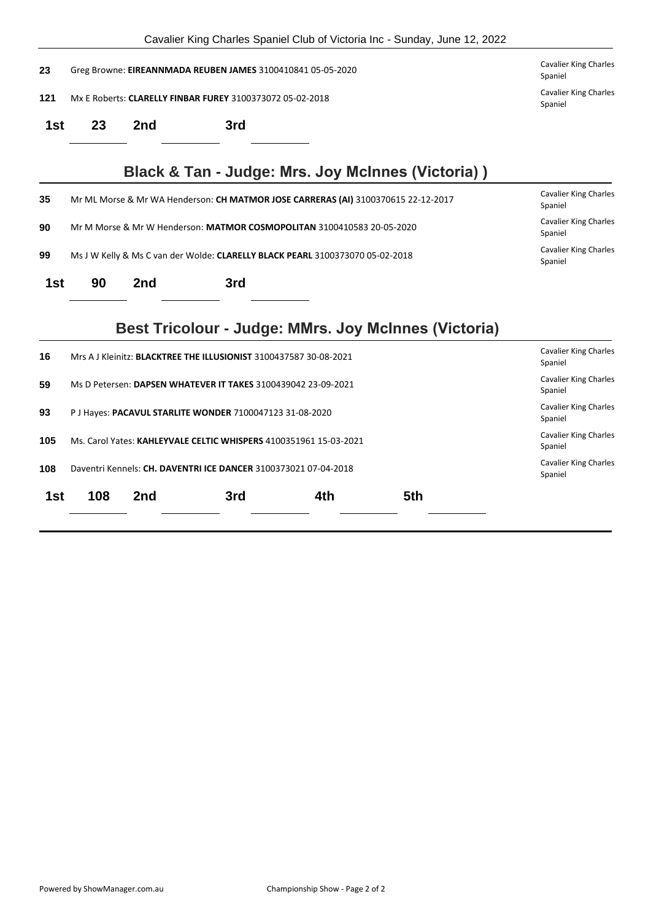|     |                                                                                                                          |                                                                                                        |                                                                   |                                                                                   | Cavalier King Charles Spaniel Club of Victoria Inc - Sunday, June 12, 2022 |                                         |  |  |
|-----|--------------------------------------------------------------------------------------------------------------------------|--------------------------------------------------------------------------------------------------------|-------------------------------------------------------------------|-----------------------------------------------------------------------------------|----------------------------------------------------------------------------|-----------------------------------------|--|--|
| 23  |                                                                                                                          | <b>Cavalier King Charles</b><br>Greg Browne: EIREANNMADA REUBEN JAMES 3100410841 05-05-2020<br>Spaniel |                                                                   |                                                                                   |                                                                            |                                         |  |  |
| 121 | <b>Cavalier King Charles</b><br>Mx E Roberts: CLARELLY FINBAR FUREY 3100373072 05-02-2018<br>Spaniel                     |                                                                                                        |                                                                   |                                                                                   |                                                                            |                                         |  |  |
| 1st | 23                                                                                                                       | 2nd                                                                                                    | 3rd                                                               |                                                                                   |                                                                            |                                         |  |  |
|     |                                                                                                                          |                                                                                                        |                                                                   |                                                                                   | Black & Tan - Judge: Mrs. Joy McInnes (Victoria))                          |                                         |  |  |
| 35  |                                                                                                                          |                                                                                                        |                                                                   | Mr ML Morse & Mr WA Henderson: CH MATMOR JOSE CARRERAS (AI) 3100370615 22-12-2017 |                                                                            | <b>Cavalier King Charles</b><br>Spaniel |  |  |
| 90  |                                                                                                                          |                                                                                                        |                                                                   | Mr M Morse & Mr W Henderson: MATMOR COSMOPOLITAN 3100410583 20-05-2020            |                                                                            | <b>Cavalier King Charles</b><br>Spaniel |  |  |
| 99  | <b>Cavalier King Charles</b><br>Ms J W Kelly & Ms C van der Wolde: CLARELLY BLACK PEARL 3100373070 05-02-2018<br>Spaniel |                                                                                                        |                                                                   |                                                                                   |                                                                            |                                         |  |  |
| 1st | 90                                                                                                                       | 2nd                                                                                                    | 3rd                                                               |                                                                                   |                                                                            |                                         |  |  |
|     |                                                                                                                          |                                                                                                        |                                                                   |                                                                                   | Best Tricolour - Judge: MMrs. Joy McInnes (Victoria)                       |                                         |  |  |
| 16  |                                                                                                                          |                                                                                                        | Mrs A J Kleinitz: BLACKTREE THE ILLUSIONIST 3100437587 30-08-2021 |                                                                                   |                                                                            | <b>Cavalier King Charles</b><br>Spaniel |  |  |
| 59  | <b>Cavalier King Charles</b><br>Ms D Petersen: DAPSEN WHATEVER IT TAKES 3100439042 23-09-2021<br>Spaniel                 |                                                                                                        |                                                                   |                                                                                   |                                                                            |                                         |  |  |
| 93  | <b>Cavalier King Charles</b><br>P J Hayes: PACAVUL STARLITE WONDER 7100047123 31-08-2020<br>Spaniel                      |                                                                                                        |                                                                   |                                                                                   |                                                                            |                                         |  |  |
| 105 | <b>Cavalier King Charles</b><br>Ms. Carol Yates: KAHLEYVALE CELTIC WHISPERS 4100351961 15-03-2021<br>Spaniel             |                                                                                                        |                                                                   |                                                                                   |                                                                            |                                         |  |  |
| 108 |                                                                                                                          |                                                                                                        | Daventri Kennels: CH. DAVENTRI ICE DANCER 3100373021 07-04-2018   |                                                                                   |                                                                            | <b>Cavalier King Charles</b><br>Spaniel |  |  |
| 1st | 108                                                                                                                      | 2nd                                                                                                    | 3rd                                                               | 4th                                                                               | 5th                                                                        |                                         |  |  |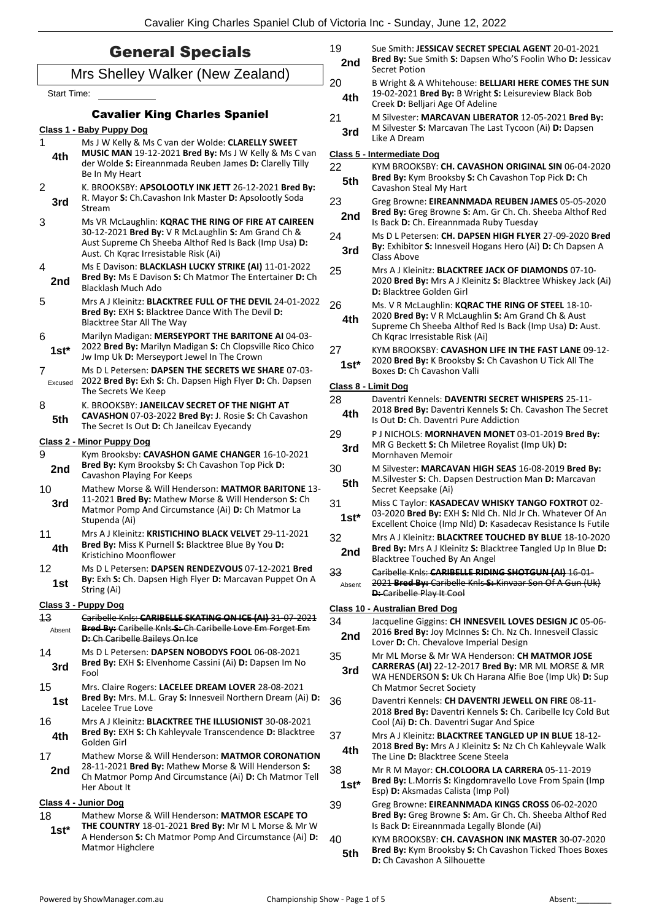|                    | <b>General Specials</b>                                                                                               | 19<br>2nd    | Sue Smith: JESSICAV SECRET SPECIAL AGENT 20-01-2021<br>Bred By: Sue Smith S: Dapsen Who'S Foolin Who D: Jessicav          |
|--------------------|-----------------------------------------------------------------------------------------------------------------------|--------------|---------------------------------------------------------------------------------------------------------------------------|
|                    | Mrs Shelley Walker (New Zealand)                                                                                      | 20           | Secret Potion<br>B Wright & A Whitehouse: BELLJARI HERE COMES THE SUN                                                     |
| <b>Start Time:</b> |                                                                                                                       | 4th          | 19-02-2021 Bred By: B Wright S: Leisureview Black Bob<br>Creek D: Belljari Age Of Adeline                                 |
|                    | <b>Cavalier King Charles Spaniel</b>                                                                                  | 21           | M Silvester: MARCAVAN LIBERATOR 12-05-2021 Bred By:                                                                       |
| 1                  | Class 1 - Baby Puppy Dog<br>Ms J W Kelly & Ms C van der Wolde: CLARELLY SWEET                                         | 3rd          | M Silvester S: Marcavan The Last Tycoon (Ai) D: Dapsen<br>Like A Dream                                                    |
| 4th                | MUSIC MAN 19-12-2021 Bred By: Ms J W Kelly & Ms C van                                                                 |              | <b>Class 5 - Intermediate Dog</b>                                                                                         |
|                    | der Wolde S: Eireannmada Reuben James D: Clarelly Tilly<br>Be In My Heart                                             | 22<br>5th    | KYM BROOKSBY: CH. CAVASHON ORIGINAL SIN 06-04-2020<br>Bred By: Kym Brooksby S: Ch Cavashon Top Pick D: Ch                 |
| $\mathbf{2}$       | K. BROOKSBY: APSOLOOTLY INK JETT 26-12-2021 Bred By:<br>R. Mayor S: Ch.Cavashon Ink Master D: Apsolootly Soda         |              | Cavashon Steal My Hart                                                                                                    |
| 3rd                | Stream                                                                                                                | 23           | Greg Browne: EIREANNMADA REUBEN JAMES 05-05-2020<br>Bred By: Greg Browne S: Am. Gr Ch. Ch. Sheeba Althof Red              |
| 3                  | Ms VR McLaughlin: KQRAC THE RING OF FIRE AT CAIREEN<br>30-12-2021 Bred By: V R McLaughlin S: Am Grand Ch &            | 2nd          | Is Back D: Ch. Eireannmada Ruby Tuesday                                                                                   |
|                    | Aust Supreme Ch Sheeba Althof Red Is Back (Imp Usa) D:                                                                | 24           | Ms D L Petersen: CH. DAPSEN HIGH FLYER 27-09-2020 Bred<br>By: Exhibitor S: Innesveil Hogans Hero (Ai) D: Ch Dapsen A      |
|                    | Aust. Ch Kqrac Irresistable Risk (Ai)                                                                                 | 3rd          | Class Above                                                                                                               |
| 4                  | Ms E Davison: BLACKLASH LUCKY STRIKE (AI) 11-01-2022                                                                  | 25           | Mrs A J Kleinitz: <b>BLACKTREE JACK OF DIAMONDS</b> 07-10-                                                                |
| 2nd                | Bred By: Ms E Davison S: Ch Matmor The Entertainer D: Ch<br>Blacklash Much Ado                                        |              | 2020 Bred By: Mrs A J Kleinitz S: Blacktree Whiskey Jack (Ai)<br><b>D:</b> Blacktree Golden Girl                          |
| 5                  | Mrs A J Kleinitz: BLACKTREE FULL OF THE DEVIL 24-01-2022                                                              | 26           | Ms. V R McLaughlin: KQRAC THE RING OF STEEL 18-10-                                                                        |
|                    | Bred By: EXH S: Blacktree Dance With The Devil D:<br>Blacktree Star All The Way                                       | 4th          | 2020 Bred By: V R McLaughlin S: Am Grand Ch & Aust                                                                        |
| 6                  | Marilyn Madigan: MERSEYPORT THE BARITONE AI 04-03-                                                                    |              | Supreme Ch Sheeba Althof Red Is Back (Imp Usa) D: Aust.<br>Ch Kgrac Irresistable Risk (Ai)                                |
| $1st^*$            | 2022 Bred By: Marilyn Madigan S: Ch Clopsville Rico Chico                                                             | 27           | KYM BROOKSBY: CAVASHON LIFE IN THE FAST LANE 09-12-                                                                       |
|                    | Jw Imp Uk D: Merseyport Jewel In The Crown                                                                            | $1st*$       | 2020 Bred By: K Brooksby S: Ch Cavashon U Tick All The                                                                    |
| 7<br>Excused       | Ms D L Petersen: DAPSEN THE SECRETS WE SHARE 07-03-<br>2022 Bred By: Exh S: Ch. Dapsen High Flyer D: Ch. Dapsen       |              | Boxes D: Ch Cavashon Valli                                                                                                |
|                    | The Secrets We Keep                                                                                                   |              | Class 8 - Limit Dog                                                                                                       |
| 8                  | K. BROOKSBY: JANEILCAV SECRET OF THE NIGHT AT                                                                         | 28           | Daventri Kennels: DAVENTRI SECRET WHISPERS 25-11-<br>2018 Bred By: Daventri Kennels S: Ch. Cavashon The Secret            |
| 5th                | CAVASHON 07-03-2022 Bred By: J. Rosie S: Ch Cavashon<br>The Secret Is Out D: Ch Janeilcav Eyecandy                    | 4th          | Is Out D: Ch. Daventri Pure Addiction                                                                                     |
|                    | <b>Class 2 - Minor Puppy Dog</b>                                                                                      | 29           | P J NICHOLS: MORNHAVEN MONET 03-01-2019 Bred By:                                                                          |
| 9                  | Kym Brooksby: CAVASHON GAME CHANGER 16-10-2021                                                                        | 3rd          | MR G Beckett S: Ch Miletree Royalist (Imp Uk) D:<br>Mornhaven Memoir                                                      |
| 2nd                | Bred By: Kym Brooksby S: Ch Cavashon Top Pick D:                                                                      | 30           | M Silvester: MARCAVAN HIGH SEAS 16-08-2019 Bred By:                                                                       |
|                    | Cavashon Playing For Keeps<br>Mathew Morse & Will Henderson: MATMOR BARITONE 13-                                      | 5th          | M. Silvester S: Ch. Dapsen Destruction Man D: Marcavan                                                                    |
| 10<br>3rd          | 11-2021 Bred By: Mathew Morse & Will Henderson S: Ch                                                                  | 31           | Secret Keepsake (Ai)<br>Miss C Taylor: KASADECAV WHISKY TANGO FOXTROT 02-                                                 |
|                    | Matmor Pomp And Circumstance (Ai) D: Ch Matmor La<br>Stupenda (Ai)                                                    | $1st*$       | 03-2020 Bred By: EXH S: Nld Ch. Nld Jr Ch. Whatever Of An<br>Excellent Choice (Imp Nld) D: Kasadecav Resistance Is Futile |
| 11                 | Mrs A J Kleinitz: KRISTICHINO BLACK VELVET 29-11-2021                                                                 | 32           | Mrs A J Kleinitz: BLACKTREE TOUCHED BY BLUE 18-10-2020                                                                    |
| 4th                | Bred By: Miss K Purnell S: Blacktree Blue By You D:<br>Kristichino Moonflower                                         | 2nd          | Bred By: Mrs A J Kleinitz S: Blacktree Tangled Up In Blue D:                                                              |
| 12                 | Ms D L Petersen: DAPSEN RENDEZVOUS 07-12-2021 Bred                                                                    |              | Blacktree Touched By An Angel                                                                                             |
| 1st                | By: Exh S: Ch. Dapsen High Flyer D: Marcavan Puppet On A                                                              | 33<br>Absent | Caribelle Knls: CARIBELLE RIDING SHOTGUN (AI) 16-01-<br>2021 Bred By: Caribelle Knls S: Kinvaar Son Of A Gun (Uk)         |
|                    | String (Ai)                                                                                                           |              | <b>D:</b> Caribelle Play It Cool                                                                                          |
|                    | Class 3 - Puppy Dog                                                                                                   |              | Class 10 - Australian Bred Dog                                                                                            |
| 43<br>Absent       | Caribelle Knls: CARIBELLE SKATING ON ICE (AI) 31-07-2021<br>Bred By: Caribelle Knls S: Ch Caribelle Love Em Forget Em | 34           | Jacqueline Giggins: CH INNESVEIL LOVES DESIGN JC 05-06-                                                                   |
|                    | <b>D:</b> Ch Caribelle Baileys On Ice                                                                                 | 2nd          | 2016 Bred By: Joy McInnes S: Ch. Nz Ch. Innesveil Classic<br>Lover D: Ch. Chevalove Imperial Design                       |
| 14                 | Ms D L Petersen: DAPSEN NOBODYS FOOL 06-08-2021<br>Bred By: EXH S: Elvenhome Cassini (Ai) D: Dapsen Im No             | 35           | Mr ML Morse & Mr WA Henderson: CH MATMOR JOSE                                                                             |
| 3rd                | Fool                                                                                                                  | 3rd          | CARRERAS (AI) 22-12-2017 Bred By: MR ML MORSE & MR<br>WA HENDERSON S: Uk Ch Harana Alfie Boe (Imp Uk) D: Sup              |
| 15                 | Mrs. Claire Rogers: LACELEE DREAM LOVER 28-08-2021                                                                    |              | Ch Matmor Secret Society                                                                                                  |
| 1st                | Bred By: Mrs. M.L. Gray S: Innesveil Northern Dream (Ai) D:<br>Lacelee True Love                                      | 36           | Daventri Kennels: CH DAVENTRI JEWELL ON FIRE 08-11-                                                                       |
| 16                 | Mrs A J Kleinitz: BLACKTREE THE ILLUSIONIST 30-08-2021                                                                |              | 2018 Bred By: Daventri Kennels S: Ch. Caribelle Icy Cold But                                                              |
| 4th                | Bred By: EXH S: Ch Kahleyvale Transcendence D: Blacktree                                                              | 37           | Cool (Ai) D: Ch. Daventri Sugar And Spice<br>Mrs A J Kleinitz: <b>BLACKTREE TANGLED UP IN BLUE</b> 18-12-                 |
|                    | Golden Girl                                                                                                           | 4th          | 2018 Bred By: Mrs A J Kleinitz S: Nz Ch Ch Kahleyvale Walk                                                                |
| 17                 | Mathew Morse & Will Henderson: MATMOR CORONATION<br>28-11-2021 Bred By: Mathew Morse & Will Henderson S:              |              | The Line D: Blacktree Scene Steela                                                                                        |
| 2nd                | Ch Matmor Pomp And Circumstance (Ai) D: Ch Matmor Tell                                                                | 38           | Mr R M Mayor: CH.COLOORA LA CARRERA 05-11-2019<br>Bred By: L.Morris S: Kingdomravello Love From Spain (Imp                |
|                    | Her About It                                                                                                          | $1st*$       | Esp) D: Aksmadas Calista (Imp Pol)                                                                                        |
|                    | Class 4 - Junior Dog                                                                                                  | 39           | Greg Browne: EIREANNMADA KINGS CROSS 06-02-2020                                                                           |
| 18                 | Mathew Morse & Will Henderson: MATMOR ESCAPE TO<br>THE COUNTRY 18-01-2021 Bred By: Mr M L Morse & Mr W                |              | Bred By: Greg Browne S: Am. Gr Ch. Ch. Sheeba Althof Red<br>Is Back D: Eireannmada Legally Blonde (Ai)                    |
| $1st*$             | A Henderson S: Ch Matmor Pomp And Circumstance (Ai) D:                                                                | 40           | KYM BROOKSBY: CH. CAVASHON INK MASTER 30-07-2020                                                                          |
|                    | Matmor Highclere                                                                                                      | 5th          | Bred By: Kym Brooksby S: Ch Cavashon Ticked Thoes Boxes                                                                   |
|                    |                                                                                                                       |              | <b>D:</b> Ch Cavashon A Silhouette                                                                                        |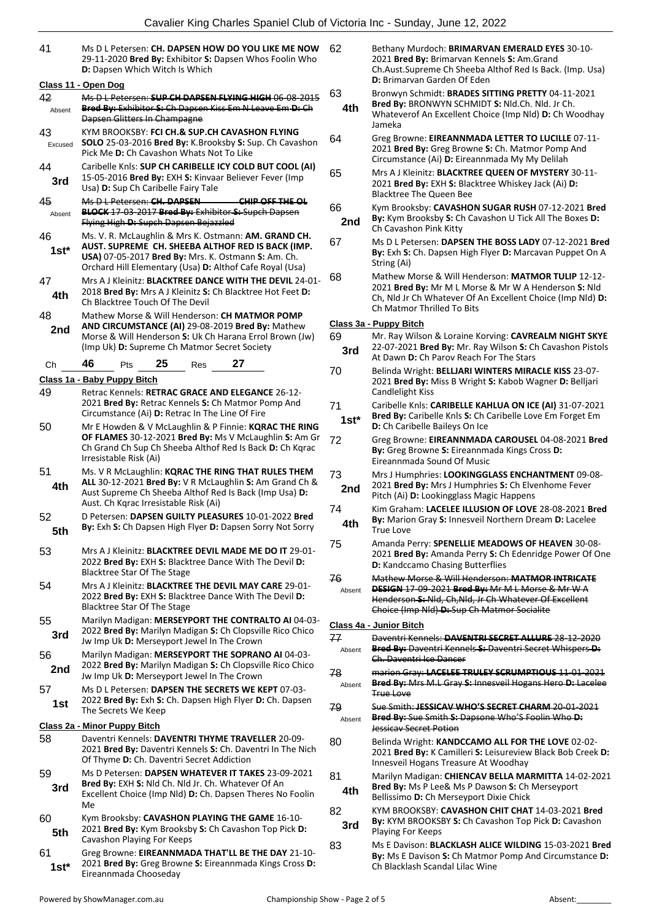41 Ms D L Petersen: **CH. DAPSEN HOW DO YOU LIKE ME NOW** 29-11-2020 **Bred By:** Exhibitor **S:** Dapsen Whos Foolin Who **D:** Dapsen Which Witch Is Which 62 Bethany Murdoch: **BRIMARVAN EMERALD EYES** 30-10-

|              | Class 11 - Open Dog                                                                                                   |  |  |  |  |  |
|--------------|-----------------------------------------------------------------------------------------------------------------------|--|--|--|--|--|
| 42           | Ms D L Petersen: SUP CH DAPSEN FLYING HIGH 06-08-2015                                                                 |  |  |  |  |  |
| Absent       | Bred By: Exhibitor S: Ch Dapsen Kiss Em N Leave Em-D: Ch<br>Dapsen Glitters In Champagne                              |  |  |  |  |  |
| 43           | KYM BROOKSBY: FCI CH.& SUP.CH CAVASHON FLYING                                                                         |  |  |  |  |  |
| Excused      | SOLO 25-03-2016 Bred By: K.Brooksby S: Sup. Ch Cavashon                                                               |  |  |  |  |  |
|              | Pick Me D: Ch Cavashon Whats Not To Like                                                                              |  |  |  |  |  |
| 44           | Caribelle Knls: SUP CH CARIBELLE ICY COLD BUT COOL (AI)<br>15-05-2016 Bred By: EXH S: Kinvaar Believer Fever (Imp     |  |  |  |  |  |
| 3rd          | Usa) D: Sup Ch Caribelle Fairy Tale                                                                                   |  |  |  |  |  |
| 45           | Ms D L Petersen: CH. DAPSEN<br>CHIP OFF THE OL                                                                        |  |  |  |  |  |
| Absent       | BLOCK 17 03 2017 Bred By: Exhibitor S: Supch Dapsen                                                                   |  |  |  |  |  |
|              | Flying High D: Supch Dapsen Bejazzled<br>Ms. V. R. McLaughlin & Mrs K. Ostmann: AM. GRAND CH.                         |  |  |  |  |  |
| 46<br>$1st*$ | AUST. SUPREME CH. SHEEBA ALTHOF RED IS BACK (IMP.                                                                     |  |  |  |  |  |
|              | USA) 07-05-2017 Bred By: Mrs. K. Ostmann S: Am. Ch.                                                                   |  |  |  |  |  |
|              | Orchard Hill Elementary (Usa) D: Althof Cafe Royal (Usa)                                                              |  |  |  |  |  |
| 47           | Mrs A J Kleinitz: BLACKTREE DANCE WITH THE DEVIL 24-01-<br>2018 Bred By: Mrs A J Kleinitz S: Ch Blacktree Hot Feet D: |  |  |  |  |  |
| 4th          | Ch Blacktree Touch Of The Devil                                                                                       |  |  |  |  |  |
| 48           | Mathew Morse & Will Henderson: CH MATMOR POMP                                                                         |  |  |  |  |  |
| 2nd          | AND CIRCUMSTANCE (AI) 29-08-2019 Bred By: Mathew                                                                      |  |  |  |  |  |
|              | Morse & Will Henderson S: Uk Ch Harana Errol Brown (Jw)<br>(Imp Uk) D: Supreme Ch Matmor Secret Society               |  |  |  |  |  |
| Ch           | 46<br>25<br>27<br>Pts<br>Res                                                                                          |  |  |  |  |  |
|              | Class 1a - Baby Puppy Bitch                                                                                           |  |  |  |  |  |
| 49           | Retrac Kennels: RETRAC GRACE AND ELEGANCE 26-12-                                                                      |  |  |  |  |  |
|              | 2021 Bred By: Retrac Kennels S: Ch Matmor Pomp And                                                                    |  |  |  |  |  |
|              | Circumstance (Ai) D: Retrac In The Line Of Fire                                                                       |  |  |  |  |  |
| 50           | Mr E Howden & V McLaughlin & P Finnie: KQRAC THE RING<br>OF FLAMES 30-12-2021 Bred By: Ms V McLaughlin S: Am Gr       |  |  |  |  |  |
|              | Ch Grand Ch Sup Ch Sheeba Althof Red Is Back D: Ch Kgrac                                                              |  |  |  |  |  |
|              | Irresistable Risk (Ai)                                                                                                |  |  |  |  |  |
| 51           | Ms. V R McLaughlin: KQRAC THE RING THAT RULES THEM                                                                    |  |  |  |  |  |
| 4th.         | ALL 30-12-2021 Bred By: V R McLaughlin S: Am Grand Ch &<br>Aust Supreme Ch Sheeba Althof Red Is Back (Imp Usa) D:     |  |  |  |  |  |
|              | Aust. Ch Kqrac Irresistable Risk (Ai)                                                                                 |  |  |  |  |  |
| 52           | D Petersen: DAPSEN GUILTY PLEASURES 10-01-2022 Bred                                                                   |  |  |  |  |  |
| 5th          | By: Exh S: Ch Dapsen High Flyer D: Dapsen Sorry Not Sorry                                                             |  |  |  |  |  |
| 53           | Mrs A J Kleinitz: <b>BLACKTREE DEVIL MADE ME DO IT</b> 29-01-                                                         |  |  |  |  |  |
|              | 2022 Bred By: EXH S: Blacktree Dance With The Devil D:                                                                |  |  |  |  |  |
|              | Blacktree Star Of The Stage                                                                                           |  |  |  |  |  |
| 54           | Mrs A J Kleinitz: <b>BLACKTREE THE DEVIL MAY CARE</b> 29-01-                                                          |  |  |  |  |  |
|              | 2022 Bred By: EXH S: Blacktree Dance With The Devil D:<br>Blacktree Star Of The Stage                                 |  |  |  |  |  |
| 55           | Marilyn Madigan: MERSEYPORT THE CONTRALTO AI 04-03-                                                                   |  |  |  |  |  |
| 3rd          | 2022 Bred By: Marilyn Madigan S: Ch Clopsville Rico Chico                                                             |  |  |  |  |  |
|              | Jw Imp Uk D: Merseyport Jewel In The Crown                                                                            |  |  |  |  |  |
| 56<br>2nd    | Marilyn Madigan: MERSEYPORT THE SOPRANO AI 04-03-<br>2022 Bred By: Marilyn Madigan S: Ch Clopsville Rico Chico        |  |  |  |  |  |
|              | Jw Imp Uk D: Merseyport Jewel In The Crown                                                                            |  |  |  |  |  |
| 57           | Ms D L Petersen: DAPSEN THE SECRETS WE KEPT 07-03-                                                                    |  |  |  |  |  |
| 1st          | 2022 Bred By: Exh S: Ch. Dapsen High Flyer D: Ch. Dapsen<br>The Secrets We Keep                                       |  |  |  |  |  |
|              | Class 2a - Minor Puppy Bitch                                                                                          |  |  |  |  |  |
| 58           | Daventri Kennels: DAVENTRI THYME TRAVELLER 20-09-                                                                     |  |  |  |  |  |
|              | 2021 Bred By: Daventri Kennels S: Ch. Daventri In The Nich                                                            |  |  |  |  |  |
|              | Of Thyme D: Ch. Daventri Secret Addiction                                                                             |  |  |  |  |  |
| 59           | Ms D Petersen: DAPSEN WHATEVER IT TAKES 23-09-2021<br>Bred By: EXH S: Nld Ch. Nld Jr. Ch. Whatever Of An              |  |  |  |  |  |
| 3rd          | Excellent Choice (Imp Nld) D: Ch. Dapsen Theres No Foolin                                                             |  |  |  |  |  |
|              | Me                                                                                                                    |  |  |  |  |  |
| 60           | Kym Brooksby: CAVASHON PLAYING THE GAME 16-10-                                                                        |  |  |  |  |  |
| 5th          | 2021 Bred By: Kym Brooksby S: Ch Cavashon Top Pick D:<br>Cavashon Playing For Keeps                                   |  |  |  |  |  |
| 61           | Greg Browne: EIREANNMADA THAT'LL BE THE DAY 21-10-                                                                    |  |  |  |  |  |
| $1st*$       | 2021 Bred By: Greg Browne S: Eireannmada Kings Cross D:                                                               |  |  |  |  |  |
|              | Eireannmada Chooseday                                                                                                 |  |  |  |  |  |

|                |              | Ch.Aust.Supreme Ch Sheeba Althof Red Is Back. (Imp. Usa)<br><b>D:</b> Brimarvan Garden Of Eden                                                                                                                      |
|----------------|--------------|---------------------------------------------------------------------------------------------------------------------------------------------------------------------------------------------------------------------|
| 5              | 63<br>4th    | Bronwyn Schmidt: BRADES SITTING PRETTY 04-11-2021<br>Bred By: BRONWYN SCHMIDT S: Nld.Ch. Nld. Jr Ch.<br>Whateverof An Excellent Choice (Imp Nld) D: Ch Woodhay<br>Jameka                                            |
|                | 64           | Greg Browne: EIREANNMADA LETTER TO LUCILLE 07-11-<br>2021 Bred By: Greg Browne S: Ch. Matmor Pomp And<br>Circumstance (Ai) D: Eireannmada My My Delilah                                                             |
|                | 65           | Mrs A J Kleinitz: BLACKTREE QUEEN OF MYSTERY 30-11-<br>2021 Bred By: EXH S: Blacktree Whiskey Jack (Ai) D:<br><b>Blacktree The Queen Bee</b>                                                                        |
|                | 66<br>2nd    | Kym Brooksby: CAVASHON SUGAR RUSH 07-12-2021 Bred<br>By: Kym Brooksby S: Ch Cavashon U Tick All The Boxes D:<br>Ch Cavashon Pink Kitty                                                                              |
|                | 67           | Ms D L Petersen: DAPSEN THE BOSS LADY 07-12-2021 Bred<br>By: Exh S: Ch. Dapsen High Flyer D: Marcavan Puppet On A<br>String (Ai)                                                                                    |
| $\overline{a}$ | 68           | Mathew Morse & Will Henderson: MATMOR TULIP 12-12-<br>2021 Bred By: Mr M L Morse & Mr W A Henderson S: Nld<br>Ch, Nld Jr Ch Whatever Of An Excellent Choice (Imp Nld) D:<br>Ch Matmor Thrilled To Bits              |
|                |              | <u> Class 3a - Puppy Bitch</u>                                                                                                                                                                                      |
|                | 69<br>3rd    | Mr. Ray Wilson & Loraine Korving: CAVREALM NIGHT SKYE<br>22-07-2021 Bred By: Mr. Ray Wilson S: Ch Cavashon Pistols<br>At Dawn D: Ch Parov Reach For The Stars                                                       |
|                | 70           | Belinda Wright: BELLJARI WINTERS MIRACLE KISS 23-07-<br>2021 Bred By: Miss B Wright S: Kabob Wagner D: Belliari<br>Candlelight Kiss                                                                                 |
| 5              | 71<br>1st*   | Caribelle Knls: CARIBELLE KAHLUA ON ICE (AI) 31-07-2021<br>Bred By: Caribelle Knls S: Ch Caribelle Love Em Forget Em<br>D: Ch Caribelle Baileys On Ice                                                              |
| ir             | 72           | Greg Browne: EIREANNMADA CAROUSEL 04-08-2021 Bred<br><b>By:</b> Greg Browne S: Eireannmada Kings Cross D:<br>Eireannmada Sound Of Music                                                                             |
| ï              | 73<br>2nd    | Mrs J Humphries: LOOKINGGLASS ENCHANTMENT 09-08-<br>2021 Bred By: Mrs J Humphries S: Ch Elvenhome Fever<br>Pitch (Ai) D: Lookingglass Magic Happens                                                                 |
|                | 74<br>4th    | Kim Graham: LACELEE ILLUSION OF LOVE 28-08-2021 Bred<br>By: Marion Gray S: Innesveil Northern Dream D: Lacelee<br><b>True Love</b>                                                                                  |
|                | 75           | Amanda Perry: SPENELLIE MEADOWS OF HEAVEN 30-08-<br>2021 Bred By: Amanda Perry S: Ch Edenridge Power Of One<br><b>D:</b> Kandccamo Chasing Butterflies                                                              |
|                | 76<br>Absent | Mathew Morse & Will Henderson: MATMOR INTRICATE<br><b>DESIGN</b> 17 09 2021 Bred By: Mr M L Morse & Mr W A<br>Henderson S: Nld, Ch, Nld, Jr Ch Whatever Of Excellent<br>Choice (Imp Nld) D: Sup Ch Matmor Socialite |
|                |              | Class 4a - Junior Bitch                                                                                                                                                                                             |
|                | 77<br>Absent | Daventri Kennels: DAVENTRI SECRET ALLURE 28-12-2020<br>Bred By: Daventri Kennels S: Daventri Secret Whispers D:<br>Ch. Daventri Ice Dancer                                                                          |
|                | 78<br>Absent | marion Gray: LACELEE TRULEY SCRUMPTIOUS 11-01-2021<br>Bred By: Mrs M.L Gray S: Innesveil Hogans Hero D: Lacelee<br><b>True Love</b>                                                                                 |
|                | 79<br>Absent | Sue Smith: JESSICAV WHO'S SECRET CHARM 20-01-2021<br><b>Bred By:</b> Sue Smith S: Dapsone Who'S Foolin Who D:<br>Jessicay Secret Potion                                                                             |
|                | 80           | Belinda Wright: KANDCCAMO ALL FOR THE LOVE 02-02-<br>2021 Bred By: K Camilleri S: Leisureview Black Bob Creek D:<br>Innesveil Hogans Treasure At Woodhay                                                            |
|                | 81<br>4th    | Marilyn Madigan: CHIENCAV BELLA MARMITTA 14-02-2021<br>Bred By: Ms P Lee& Ms P Dawson S: Ch Merseyport<br>Bellissimo <b>D:</b> Ch Merseyport Dixie Chick                                                            |
|                | 82<br>3rd    | KYM BROOKSBY: <b>CAVASHON CHIT CHAT</b> 14-03-2021 <b>Bred</b><br>By: KYM BROOKSBY S: Ch Cavashon Top Pick D: Cavashon                                                                                              |

2021 **Bred By:** Brimarvan Kennels **S:** Am.Grand

**3rd By:** KYM BROOKSE Playing For Keeps 83 Ms E Davison: **BLACKLASH ALICE WILDING** 15-03-2021 **Bred By:** Ms E Davison **S:** Ch Matmor Pomp And Circumstance **D:**  Ch Blacklash Scandal Lilac Wine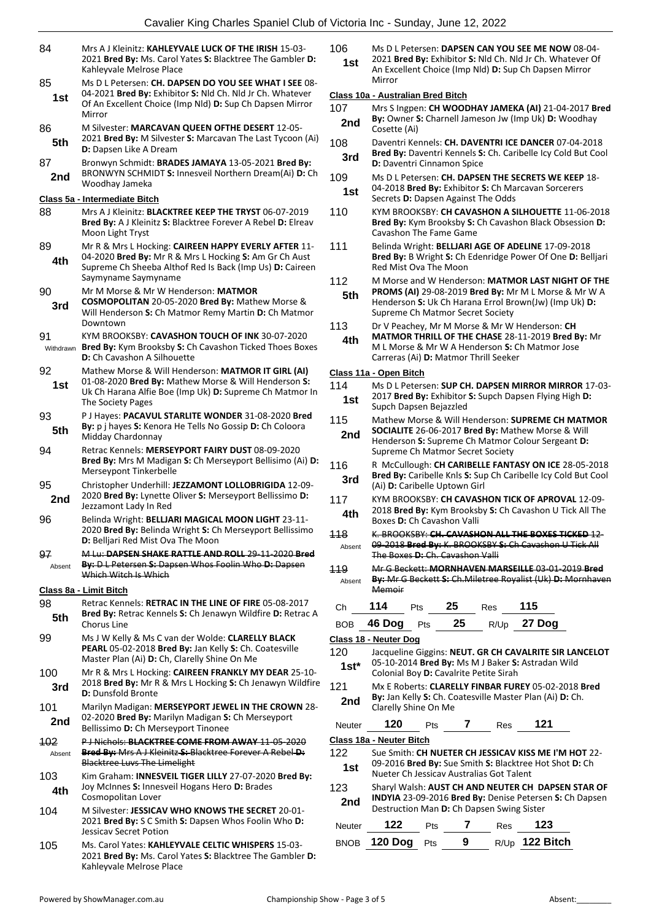| 84              | Mrs A J Kleinitz: KAHLEYVALE LUCK OF THE IRISH 15-03-<br>2021 Bred By: Ms. Carol Yates S: Blacktree The Gambler D:<br>Kahleyvale Melrose Place                                                    | 1                                |
|-----------------|---------------------------------------------------------------------------------------------------------------------------------------------------------------------------------------------------|----------------------------------|
| 85<br>1st       | Ms D L Petersen: CH. DAPSEN DO YOU SEE WHAT I SEE 08-<br>04-2021 Bred By: Exhibitor S: Nld Ch. Nld Jr Ch. Whatever<br>Of An Excellent Choice (Imp Nld) D: Sup Ch Dapsen Mirror<br>Mirror          | $\overline{c}$<br>$\overline{1}$ |
| 86<br>5th       | M Silvester: MARCAVAN QUEEN OFTHE DESERT 12-05-<br>2021 Bred By: M Silvester S: Marcavan The Last Tycoon (Ai)<br><b>D:</b> Dapsen Like A Dream                                                    | 1                                |
| 87<br>2nd       | Bronwyn Schmidt: BRADES JAMAYA 13-05-2021 Bred By:<br>BRONWYN SCHMIDT S: Innesveil Northern Dream(Ai) D: Ch<br>Woodhay Jameka                                                                     | 1                                |
|                 | Class 5a - Intermediate Bitch                                                                                                                                                                     |                                  |
| 88              | Mrs A J Kleinitz: <b>BLACKTREE KEEP THE TRYST</b> 06-07-2019<br>Bred By: A J Kleinitz S: Blacktree Forever A Rebel D: Elreav<br>Moon Light Tryst                                                  | 1                                |
| 89<br>4th       | Mr R & Mrs L Hocking: CAIREEN HAPPY EVERLY AFTER 11-<br>04-2020 Bred By: Mr R & Mrs L Hocking S: Am Gr Ch Aust<br>Supreme Ch Sheeba Althof Red Is Back (Imp Us) D: Caireen<br>Saymyname Saymyname | 1                                |
| 90<br>3rd       | Mr M Morse & Mr W Henderson: MATMOR<br>COSMOPOLITAN 20-05-2020 Bred By: Mathew Morse &<br>Will Henderson S: Ch Matmor Remy Martin D: Ch Matmor                                                    | 1                                |
| 91<br>Withdrawn | Downtown<br>KYM BROOKSBY: CAVASHON TOUCH OF INK 30-07-2020<br>Bred By: Kym Brooksby S: Ch Cavashon Ticked Thoes Boxes<br><b>D:</b> Ch Cavashon A Silhouette                                       | 1                                |
| 92<br>1st       | Mathew Morse & Will Henderson: MATMOR IT GIRL (AI)<br>01-08-2020 Bred By: Mathew Morse & Will Henderson S:<br>Uk Ch Harana Alfie Boe (Imp Uk) D: Supreme Ch Matmor In<br>The Society Pages        | $\overline{c}$<br>1              |
|                 |                                                                                                                                                                                                   |                                  |
| 93<br>5th       | P J Hayes: PACAVUL STARLITE WONDER 31-08-2020 Bred<br>By: p j hayes S: Kenora He Tells No Gossip D: Ch Coloora<br>Midday Chardonnay                                                               | 1                                |
| 94              | Retrac Kennels: MERSEYPORT FAIRY DUST 08-09-2020<br>Bred By: Mrs M Madigan S: Ch Merseyport Bellisimo (Ai) D:<br>Merseypont Tinkerbelle                                                           | 1                                |
| 95<br>2nd       | Christopher Underhill: JEZZAMONT LOLLOBRIGIDA 12-09-<br>2020 Bred By: Lynette Oliver S: Merseyport Bellissimo D:<br>Jezzamont Lady In Red                                                         | 1                                |
| 96              | Belinda Wright: BELLJARI MAGICAL MOON LIGHT 23-11-<br>2020 Bred By: Belinda Wright S: Ch Merseyport Bellissimo<br>D: Belljari Red Mist Ova The Moon                                               | $\overline{1}$                   |
| 97<br>Absent    | M Lu: DAPSEN SHAKE RATTLE AND ROLL 29-11-2020 Bred<br>By: D L Petersen S: Dapsen Whos Foolin Who D: Dapsen<br>Which Witch Is Which                                                                | 4                                |
|                 | Class 8a - Limit Bitch                                                                                                                                                                            |                                  |
| 98              | Retrac Kennels: RETRAC IN THE LINE OF FIRE 05-08-2017                                                                                                                                             |                                  |
| 5th             | Bred By: Retrac Kennels S: Ch Jenawyn Wildfire D: Retrac A<br><b>Chorus Line</b>                                                                                                                  |                                  |
| 99              | Ms J W Kelly & Ms C van der Wolde: CLARELLY BLACK<br>PEARL 05-02-2018 Bred By: Jan Kelly S: Ch. Coatesville<br>Master Plan (Ai) D: Ch, Clarelly Shine On Me                                       | <u>c</u><br>1                    |
| 100<br>3rd      | Mr R & Mrs L Hocking: CAIREEN FRANKLY MY DEAR 25-10-<br>2018 Bred By: Mr R & Mrs L Hocking S: Ch Jenawyn Wildfire<br><b>D:</b> Dunsfold Bronte                                                    | 1                                |
| 101<br>2nd      | Marilyn Madigan: MERSEYPORT JEWEL IN THE CROWN 28-<br>02-2020 Bred By: Marilyn Madigan S: Ch Merseyport<br>Bellissimo D: Ch Merseyport Tinonee                                                    |                                  |
| <b>102</b>      | <b>P J Nichols: BLACKTREE COME FROM AWAY 11-05-2020</b>                                                                                                                                           | <u>c</u>                         |
| Absent          | Bred By: Mrs A J Kleinitz S: Blacktree Forever A Rebel D:<br><b>Blacktree Luvs The Limelight</b>                                                                                                  | 1                                |
| 103<br>4th      | Kim Graham: INNESVEIL TIGER LILLY 27-07-2020 Bred By:<br>Joy McInnes S: Innesveil Hogans Hero D: Brades<br>Cosmopolitan Lover                                                                     | 1                                |
| 104             | M Silvester: JESSICAV WHO KNOWS THE SECRET 20-01-<br>2021 Bred By: S C Smith S: Dapsen Whos Foolin Who D:<br><b>Jessicav Secret Potion</b>                                                        |                                  |
| 105             | Ms. Carol Yates: KAHLEYVALE CELTIC WHISPERS 15-03-<br>2021 Bred By: Ms. Carol Yates S: Blacktree The Gambler D:<br>Kahleyvale Melrose Place                                                       |                                  |

- 106 Ms D L Petersen: **DAPSEN CAN YOU SEE ME NOW** 08-04-
- 2021 **Bred By:** Exhibitor **S:** Nld Ch. Nld Jr Ch. Whatever Of An Excellent Choice (Imp Nld) **D:** Sup Ch Dapsen Mirror Mirror **1st**

#### **Class 10a - Australian Bred Bitch**

- 107 Mrs S Ingpen: **CH WOODHAY JAMEKA (AI)** 21-04-2017 **Bred By:** Owner **S:** Charnell Jameson Jw (Imp Uk) **D:** Woodhay **2nd By:** UWner S
- 108 Daventri Kennels: **CH. DAVENTRI ICE DANCER** 07-04-2018 **Bred By:** Daventri Kennels **S:** Ch. Caribelle Icy Cold But Cool
- **3rd Bred By:** Daventri Kennels Side **D:** Daventri Cinnamon Spice
- 109 Ms D L Petersen: **CH. DAPSEN THE SECRETS WE KEEP** 18- 04-2018 **Bred By:** Exhibitor **S:** Ch Marcavan Sorcerers **1st** D4-2018 **Died by:** Exhibitor **S:** Children Secrets **D:** Dapsen Against The Odds
- 110 KYM BROOKSBY: **CH CAVASHON A SILHOUETTE** 11-06-2018 **Bred By:** Kym Brooksby **S:** Ch Cavashon Black Obsession **D:**  Cavashon The Fame Game
- 111 Belinda Wright: **BELLJARI AGE OF ADELINE** 17-09-2018 **Bred By:** B Wright **S:** Ch Edenridge Power Of One **D:** Belljari Red Mist Ova The Moon
- 12 M Morse and W Henderson: MATMOR LAST NIGHT OF THE
- **PROMS (AI)** 29-08-2019 **Bred By:** Mr M L Morse & Mr W A Henderson **S:** Uk Ch Harana Errol Brown(Jw) (Imp Uk) **D:**  Supreme Ch Matmor Secret Society **5th**
- 113 Dr V Peachey, Mr M Morse & Mr W Henderson: **CH MATMOR THRILL OF THE CHASE** 28-11-2019 **Bred By:** Mr M L Morse & Mr W A Henderson **S:** Ch Matmor Jose **4th**
	- Carreras (Ai) **D:** Matmor Thrill Seeker

#### **Class 11a - Open Bitch**

|               | <u> Class Tia - Open Bitch</u>                                                                                                                                                                                           |     |    |                                           |                                                                                                                 |  |  |
|---------------|--------------------------------------------------------------------------------------------------------------------------------------------------------------------------------------------------------------------------|-----|----|-------------------------------------------|-----------------------------------------------------------------------------------------------------------------|--|--|
| 114<br>1st    | Ms D L Petersen: SUP CH. DAPSEN MIRROR MIRROR 17-03-<br>2017 Bred By: Exhibitor S: Supch Dapsen Flying High D:                                                                                                           |     |    |                                           |                                                                                                                 |  |  |
| 115<br>2nd    | Supch Dapsen Bejazzled<br>Mathew Morse & Will Henderson: SUPREME CH MATMOR<br>SOCIALITE 26-06-2017 Bred By: Mathew Morse & Will<br>Henderson S: Supreme Ch Matmor Colour Sergeant D:<br>Supreme Ch Matmor Secret Society |     |    |                                           |                                                                                                                 |  |  |
| 116<br>3rd    | R McCullough: CH CARIBELLE FANTASY ON ICE 28-05-2018<br>Bred By: Caribelle Knls S: Sup Ch Caribelle Icy Cold But Cool<br>(Ai) D: Caribelle Uptown Girl                                                                   |     |    |                                           |                                                                                                                 |  |  |
| 117<br>4th    | Boxes D: Ch Cavashon Valli                                                                                                                                                                                               |     |    |                                           | KYM BROOKSBY: CH CAVASHON TICK OF APROVAL 12-09-<br>2018 Bred By: Kym Brooksby S: Ch Cavashon U Tick All The    |  |  |
| 118<br>Absent | The Boxes D: Ch. Cavashon Valli                                                                                                                                                                                          |     |    |                                           | K. BROOKSBY: CH. CAVASHON ALL THE BOXES TICKED 12-<br>09-2018 Bred By: K. BROOKSBY S: Ch Cavashon U Tick All    |  |  |
| 119<br>Absent | Mr G Beckett: MORNHAVEN MARSEILLE 03-01-2019 Bred<br>By: Mr G Beckett S: Ch. Miletree Royalist (Uk) D: Mornhaven<br>Memoir                                                                                               |     |    |                                           |                                                                                                                 |  |  |
| Ch            | 114                                                                                                                                                                                                                      | Pts | 25 | Res                                       | 115                                                                                                             |  |  |
| <b>BOB</b>    | 46 Dog                                                                                                                                                                                                                   | Pts | 25 |                                           | R/Up 27 Dog                                                                                                     |  |  |
|               | Class 18 - Neuter Dog                                                                                                                                                                                                    |     |    |                                           |                                                                                                                 |  |  |
| 120           |                                                                                                                                                                                                                          |     |    |                                           | Jacqueline Giggins: NEUT. GR CH CAVALRITE SIR LANCELOT                                                          |  |  |
| 1st*          |                                                                                                                                                                                                                          |     |    | Colonial Boy D: Cavalrite Petite Sirah    | 05-10-2014 Bred By: Ms M J Baker S: Astradan Wild                                                               |  |  |
| 121<br>2nd    | Clarelly Shine On Me                                                                                                                                                                                                     |     |    |                                           | Mx E Roberts: CLARELLY FINBAR FUREY 05-02-2018 Bred<br>By: Jan Kelly S: Ch. Coatesville Master Plan (Ai) D: Ch. |  |  |
| Neuter        | 120                                                                                                                                                                                                                      | Pts | 7  | Res                                       | 121                                                                                                             |  |  |
|               | Class 18a - Neuter Bitch                                                                                                                                                                                                 |     |    |                                           |                                                                                                                 |  |  |
| 122<br>1st    |                                                                                                                                                                                                                          |     |    | Nueter Ch Jessicav Australias Got Talent  | Sue Smith: CH NUETER CH JESSICAV KISS ME I'M HOT 22-<br>09-2016 Bred By: Sue Smith S: Blacktree Hot Shot D: Ch  |  |  |
| 123<br>2nd    |                                                                                                                                                                                                                          |     |    | Destruction Man D: Ch Dapsen Swing Sister | Sharyl Walsh: AUST CH AND NEUTER CH DAPSEN STAR OF<br>INDYIA 23-09-2016 Bred By: Denise Petersen S: Ch Dapsen   |  |  |
| Neuter        | 122                                                                                                                                                                                                                      | Pts | 7  | Res                                       | 123                                                                                                             |  |  |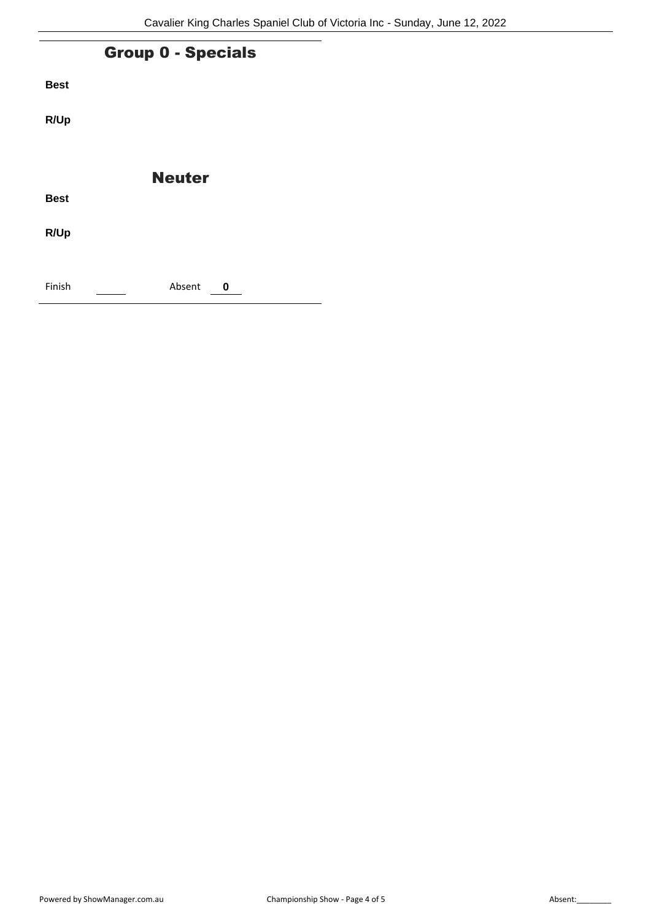|             | <b>Group 0 - Specials</b> |  |
|-------------|---------------------------|--|
| <b>Best</b> |                           |  |
| R/Up        |                           |  |
|             | <b>Neuter</b>             |  |
| <b>Best</b> |                           |  |
| R/Up        |                           |  |
| Finish      | Absent<br>0               |  |